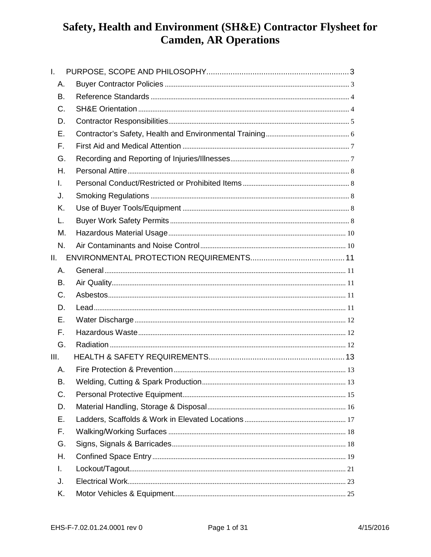| $\mathbf{L}$ |  |
|--------------|--|
| Α.           |  |
| В.           |  |
| C.           |  |
| D.           |  |
| Е.           |  |
| F.           |  |
| G.           |  |
| Н.           |  |
| I.           |  |
| J.           |  |
| Κ.           |  |
| L.           |  |
| М.           |  |
| N.           |  |
| II.          |  |
| Α.           |  |
| В.           |  |
| $C_{\cdot}$  |  |
| D.           |  |
| Е.           |  |
| F.           |  |
| G.           |  |
| III.         |  |
| Α.           |  |
| В.           |  |
| C.           |  |
| D.           |  |
| Е.           |  |
| F.           |  |
| G.           |  |
| Η.           |  |
| I.           |  |
| J.           |  |
| Κ.           |  |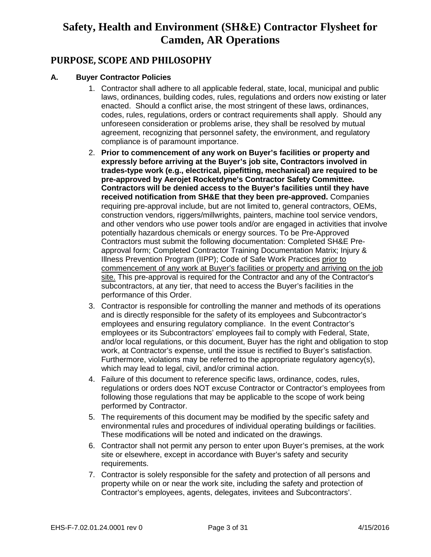### **PURPOSE, SCOPE AND PHILOSOPHY**

#### **A. Buyer Contractor Policies**

- 1. Contractor shall adhere to all applicable federal, state, local, municipal and public laws, ordinances, building codes, rules, regulations and orders now existing or later enacted. Should a conflict arise, the most stringent of these laws, ordinances, codes, rules, regulations, orders or contract requirements shall apply. Should any unforeseen consideration or problems arise, they shall be resolved by mutual agreement, recognizing that personnel safety, the environment, and regulatory compliance is of paramount importance.
- 2. **Prior to commencement of any work on Buyer's facilities or property and expressly before arriving at the Buyer's job site, Contractors involved in trades-type work (e.g., electrical, pipefitting, mechanical) are required to be pre-approved by Aerojet Rocketdyne's Contractor Safety Committee. Contractors will be denied access to the Buyer's facilities until they have received notification from SH&E that they been pre-approved.** Companies requiring pre-approval include, but are not limited to, general contractors, OEMs, construction vendors, riggers/millwrights, painters, machine tool service vendors, and other vendors who use power tools and/or are engaged in activities that involve potentially hazardous chemicals or energy sources. To be Pre-Approved Contractors must submit the following documentation: Completed SH&E Preapproval form; Completed Contractor Training Documentation Matrix; Injury & Illness Prevention Program (IIPP); Code of Safe Work Practices prior to commencement of any work at Buyer's facilities or property and arriving on the job site. This pre-approval is required for the Contractor and any of the Contractor's subcontractors, at any tier, that need to access the Buyer's facilities in the performance of this Order.
- 3. Contractor is responsible for controlling the manner and methods of its operations and is directly responsible for the safety of its employees and Subcontractor's employees and ensuring regulatory compliance. In the event Contractor's employees or its Subcontractors' employees fail to comply with Federal, State, and/or local regulations, or this document, Buyer has the right and obligation to stop work, at Contractor's expense, until the issue is rectified to Buyer's satisfaction. Furthermore, violations may be referred to the appropriate regulatory agency(s), which may lead to legal, civil, and/or criminal action.
- 4. Failure of this document to reference specific laws, ordinance, codes, rules, regulations or orders does NOT excuse Contractor or Contractor's employees from following those regulations that may be applicable to the scope of work being performed by Contractor.
- 5. The requirements of this document may be modified by the specific safety and environmental rules and procedures of individual operating buildings or facilities. These modifications will be noted and indicated on the drawings.
- 6. Contractor shall not permit any person to enter upon Buyer's premises, at the work site or elsewhere, except in accordance with Buyer's safety and security requirements.
- 7. Contractor is solely responsible for the safety and protection of all persons and property while on or near the work site, including the safety and protection of Contractor's employees, agents, delegates, invitees and Subcontractors'.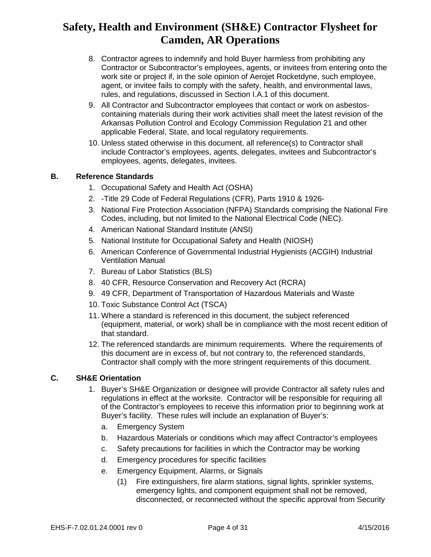- 8. Contractor agrees to indemnify and hold Buyer harmless from prohibiting any Contractor or Subcontractor's employees, agents, or invitees from entering onto the work site or project if, in the sole opinion of Aerojet Rocketdyne, such employee, agent, or invitee fails to comply with the safety, health, and environmental laws, rules, and regulations, discussed in Section I.A.1 of this document.
- 9. All Contractor and Subcontractor employees that contact or work on asbestoscontaining materials during their work activities shall meet the latest revision of the Arkansas Pollution Control and Ecology Commission Regulation 21 and other applicable Federal, State, and local regulatory requirements.
- 10. Unless stated otherwise in this document, all reference(s) to Contractor shall include Contractor's employees, agents, delegates, invitees and Subcontractor's employees, agents, delegates, invitees.

### **B. Reference Standards**

- 1. Occupational Safety and Health Act (OSHA)
- 2. -Title 29 Code of Federal Regulations (CFR), Parts 1910 & 1926-
- 3. National Fire Protection Association (NFPA) Standards comprising the National Fire Codes, including, but not limited to the National Electrical Code (NEC).
- 4. American National Standard Institute (ANSI)
- 5. National Institute for Occupational Safety and Health (NIOSH)
- 6. American Conference of Governmental Industrial Hygienists (ACGIH) Industrial Ventilation Manual
- 7. Bureau of Labor Statistics (BLS)
- 8. 40 CFR, Resource Conservation and Recovery Act (RCRA)
- 9. 49 CFR, Department of Transportation of Hazardous Materials and Waste
- 10. Toxic Substance Control Act (TSCA)
- 11. Where a standard is referenced in this document, the subject referenced (equipment, material, or work) shall be in compliance with the most recent edition of that standard.
- 12. The referenced standards are minimum requirements. Where the requirements of this document are in excess of, but not contrary to, the referenced standards, Contractor shall comply with the more stringent requirements of this document.

#### **C. SH&E Orientation**

- 1. Buyer's SH&E Organization or designee will provide Contractor all safety rules and regulations in effect at the worksite. Contractor will be responsible for requiring all of the Contractor's employees to receive this information prior to beginning work at Buyer's facility. These rules will include an explanation of Buyer's:
	- a. Emergency System
	- b. Hazardous Materials or conditions which may affect Contractor's employees
	- c. Safety precautions for facilities in which the Contractor may be working
	- d. Emergency procedures for specific facilities
	- e. Emergency Equipment, Alarms, or Signals
		- (1) Fire extinguishers, fire alarm stations, signal lights, sprinkler systems, emergency lights, and component equipment shall not be removed, disconnected, or reconnected without the specific approval from Security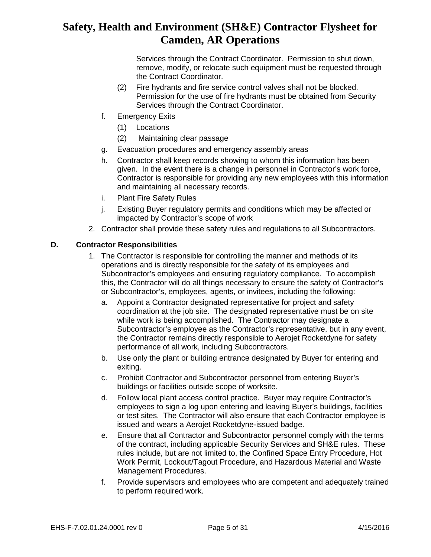Services through the Contract Coordinator. Permission to shut down, remove, modify, or relocate such equipment must be requested through the Contract Coordinator.

- (2) Fire hydrants and fire service control valves shall not be blocked. Permission for the use of fire hydrants must be obtained from Security Services through the Contract Coordinator.
- f. Emergency Exits
	- (1) Locations
	- (2) Maintaining clear passage
- g. Evacuation procedures and emergency assembly areas
- h. Contractor shall keep records showing to whom this information has been given. In the event there is a change in personnel in Contractor's work force, Contractor is responsible for providing any new employees with this information and maintaining all necessary records.
- i. Plant Fire Safety Rules
- j. Existing Buyer regulatory permits and conditions which may be affected or impacted by Contractor's scope of work
- 2. Contractor shall provide these safety rules and regulations to all Subcontractors.

#### **D. Contractor Responsibilities**

- 1. The Contractor is responsible for controlling the manner and methods of its operations and is directly responsible for the safety of its employees and Subcontractor's employees and ensuring regulatory compliance. To accomplish this, the Contractor will do all things necessary to ensure the safety of Contractor's or Subcontractor's, employees, agents, or invitees, including the following:
	- a. Appoint a Contractor designated representative for project and safety coordination at the job site. The designated representative must be on site while work is being accomplished. The Contractor may designate a Subcontractor's employee as the Contractor's representative, but in any event, the Contractor remains directly responsible to Aerojet Rocketdyne for safety performance of all work, including Subcontractors.
	- b. Use only the plant or building entrance designated by Buyer for entering and exiting.
	- c. Prohibit Contractor and Subcontractor personnel from entering Buyer's buildings or facilities outside scope of worksite.
	- d. Follow local plant access control practice. Buyer may require Contractor's employees to sign a log upon entering and leaving Buyer's buildings, facilities or test sites. The Contractor will also ensure that each Contractor employee is issued and wears a Aerojet Rocketdyne-issued badge.
	- e. Ensure that all Contractor and Subcontractor personnel comply with the terms of the contract, including applicable Security Services and SH&E rules. These rules include, but are not limited to, the Confined Space Entry Procedure, Hot Work Permit, Lockout/Tagout Procedure, and Hazardous Material and Waste Management Procedures.
	- f. Provide supervisors and employees who are competent and adequately trained to perform required work.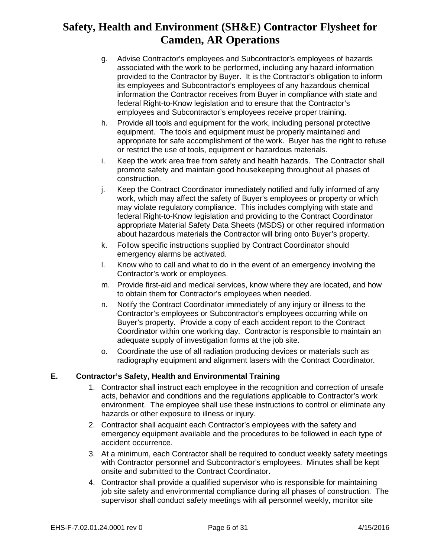- g. Advise Contractor's employees and Subcontractor's employees of hazards associated with the work to be performed, including any hazard information provided to the Contractor by Buyer. It is the Contractor's obligation to inform its employees and Subcontractor's employees of any hazardous chemical information the Contractor receives from Buyer in compliance with state and federal Right-to-Know legislation and to ensure that the Contractor's employees and Subcontractor's employees receive proper training.
- h. Provide all tools and equipment for the work, including personal protective equipment. The tools and equipment must be properly maintained and appropriate for safe accomplishment of the work. Buyer has the right to refuse or restrict the use of tools, equipment or hazardous materials.
- i. Keep the work area free from safety and health hazards. The Contractor shall promote safety and maintain good housekeeping throughout all phases of construction.
- j. Keep the Contract Coordinator immediately notified and fully informed of any work, which may affect the safety of Buyer's employees or property or which may violate regulatory compliance. This includes complying with state and federal Right-to-Know legislation and providing to the Contract Coordinator appropriate Material Safety Data Sheets (MSDS) or other required information about hazardous materials the Contractor will bring onto Buyer's property.
- k. Follow specific instructions supplied by Contract Coordinator should emergency alarms be activated.
- l. Know who to call and what to do in the event of an emergency involving the Contractor's work or employees.
- m. Provide first-aid and medical services, know where they are located, and how to obtain them for Contractor's employees when needed.
- n. Notify the Contract Coordinator immediately of any injury or illness to the Contractor's employees or Subcontractor's employees occurring while on Buyer's property. Provide a copy of each accident report to the Contract Coordinator within one working day. Contractor is responsible to maintain an adequate supply of investigation forms at the job site.
- o. Coordinate the use of all radiation producing devices or materials such as radiography equipment and alignment lasers with the Contract Coordinator.

### **E. Contractor's Safety, Health and Environmental Training**

- 1. Contractor shall instruct each employee in the recognition and correction of unsafe acts, behavior and conditions and the regulations applicable to Contractor's work environment. The employee shall use these instructions to control or eliminate any hazards or other exposure to illness or injury.
- 2. Contractor shall acquaint each Contractor's employees with the safety and emergency equipment available and the procedures to be followed in each type of accident occurrence.
- 3. At a minimum, each Contractor shall be required to conduct weekly safety meetings with Contractor personnel and Subcontractor's employees. Minutes shall be kept onsite and submitted to the Contract Coordinator.
- 4. Contractor shall provide a qualified supervisor who is responsible for maintaining job site safety and environmental compliance during all phases of construction. The supervisor shall conduct safety meetings with all personnel weekly, monitor site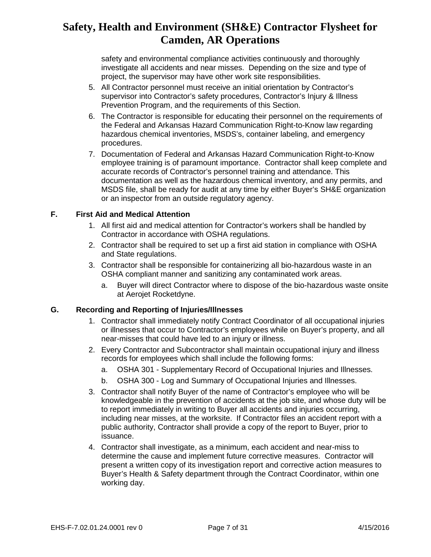safety and environmental compliance activities continuously and thoroughly investigate all accidents and near misses. Depending on the size and type of project, the supervisor may have other work site responsibilities.

- 5. All Contractor personnel must receive an initial orientation by Contractor's supervisor into Contractor's safety procedures, Contractor's Injury & Illness Prevention Program, and the requirements of this Section.
- 6. The Contractor is responsible for educating their personnel on the requirements of the Federal and Arkansas Hazard Communication Right-to-Know law regarding hazardous chemical inventories, MSDS's, container labeling, and emergency procedures.
- 7. Documentation of Federal and Arkansas Hazard Communication Right-to-Know employee training is of paramount importance. Contractor shall keep complete and accurate records of Contractor's personnel training and attendance. This documentation as well as the hazardous chemical inventory, and any permits, and MSDS file, shall be ready for audit at any time by either Buyer's SH&E organization or an inspector from an outside regulatory agency.

#### **F. First Aid and Medical Attention**

- 1. All first aid and medical attention for Contractor's workers shall be handled by Contractor in accordance with OSHA regulations.
- 2. Contractor shall be required to set up a first aid station in compliance with OSHA and State regulations.
- 3. Contractor shall be responsible for containerizing all bio-hazardous waste in an OSHA compliant manner and sanitizing any contaminated work areas.
	- a. Buyer will direct Contractor where to dispose of the bio-hazardous waste onsite at Aerojet Rocketdyne.

#### **G. Recording and Reporting of Injuries/Illnesses**

- 1. Contractor shall immediately notify Contract Coordinator of all occupational injuries or illnesses that occur to Contractor's employees while on Buyer's property, and all near-misses that could have led to an injury or illness.
- 2. Every Contractor and Subcontractor shall maintain occupational injury and illness records for employees which shall include the following forms:
	- a. OSHA 301 Supplementary Record of Occupational Injuries and Illnesses.
	- b. OSHA 300 Log and Summary of Occupational Injuries and Illnesses.
- 3. Contractor shall notify Buyer of the name of Contractor's employee who will be knowledgeable in the prevention of accidents at the job site, and whose duty will be to report immediately in writing to Buyer all accidents and injuries occurring, including near misses, at the worksite. If Contractor files an accident report with a public authority, Contractor shall provide a copy of the report to Buyer, prior to issuance.
- 4. Contractor shall investigate, as a minimum, each accident and near-miss to determine the cause and implement future corrective measures. Contractor will present a written copy of its investigation report and corrective action measures to Buyer's Health & Safety department through the Contract Coordinator, within one working day.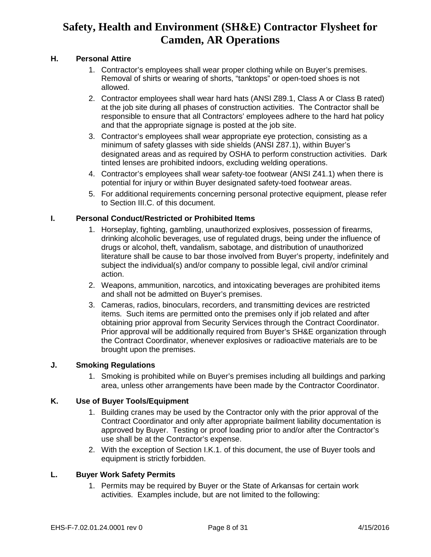### **H. Personal Attire**

- 1. Contractor's employees shall wear proper clothing while on Buyer's premises. Removal of shirts or wearing of shorts, "tanktops" or open-toed shoes is not allowed.
- 2. Contractor employees shall wear hard hats (ANSI Z89.1, Class A or Class B rated) at the job site during all phases of construction activities. The Contractor shall be responsible to ensure that all Contractors' employees adhere to the hard hat policy and that the appropriate signage is posted at the job site.
- 3. Contractor's employees shall wear appropriate eye protection, consisting as a minimum of safety glasses with side shields (ANSI Z87.1), within Buyer's designated areas and as required by OSHA to perform construction activities. Dark tinted lenses are prohibited indoors, excluding welding operations.
- 4. Contractor's employees shall wear safety-toe footwear (ANSI Z41.1) when there is potential for injury or within Buyer designated safety-toed footwear areas.
- 5. For additional requirements concerning personal protective equipment, please refer to Section III.C. of this document.

### **I. Personal Conduct/Restricted or Prohibited Items**

- 1. Horseplay, fighting, gambling, unauthorized explosives, possession of firearms, drinking alcoholic beverages, use of regulated drugs, being under the influence of drugs or alcohol, theft, vandalism, sabotage, and distribution of unauthorized literature shall be cause to bar those involved from Buyer's property, indefinitely and subject the individual(s) and/or company to possible legal, civil and/or criminal action.
- 2. Weapons, ammunition, narcotics, and intoxicating beverages are prohibited items and shall not be admitted on Buyer's premises.
- 3. Cameras, radios, binoculars, recorders, and transmitting devices are restricted items. Such items are permitted onto the premises only if job related and after obtaining prior approval from Security Services through the Contract Coordinator. Prior approval will be additionally required from Buyer's SH&E organization through the Contract Coordinator, whenever explosives or radioactive materials are to be brought upon the premises.

#### **J. Smoking Regulations**

1. Smoking is prohibited while on Buyer's premises including all buildings and parking area, unless other arrangements have been made by the Contractor Coordinator.

#### **K. Use of Buyer Tools/Equipment**

- 1. Building cranes may be used by the Contractor only with the prior approval of the Contract Coordinator and only after appropriate bailment liability documentation is approved by Buyer. Testing or proof loading prior to and/or after the Contractor's use shall be at the Contractor's expense.
- 2. With the exception of Section I.K.1. of this document, the use of Buyer tools and equipment is strictly forbidden.

#### **L. Buyer Work Safety Permits**

1. Permits may be required by Buyer or the State of Arkansas for certain work activities. Examples include, but are not limited to the following: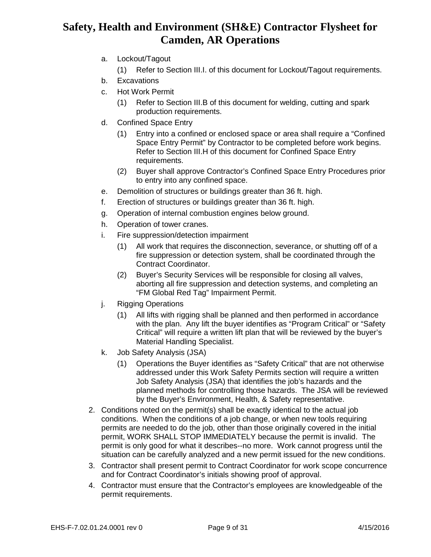- a. Lockout/Tagout
	- (1) Refer to Section III.I. of this document for Lockout/Tagout requirements.
- b. Excavations
- c. Hot Work Permit
	- (1) Refer to Section III.B of this document for welding, cutting and spark production requirements.
- d. Confined Space Entry
	- (1) Entry into a confined or enclosed space or area shall require a "Confined Space Entry Permit" by Contractor to be completed before work begins. Refer to Section III.H of this document for Confined Space Entry requirements.
	- (2) Buyer shall approve Contractor's Confined Space Entry Procedures prior to entry into any confined space.
- e. Demolition of structures or buildings greater than 36 ft. high.
- f. Erection of structures or buildings greater than 36 ft. high.
- g. Operation of internal combustion engines below ground.
- h. Operation of tower cranes.
- i. Fire suppression/detection impairment
	- (1) All work that requires the disconnection, severance, or shutting off of a fire suppression or detection system, shall be coordinated through the Contract Coordinator.
	- (2) Buyer's Security Services will be responsible for closing all valves, aborting all fire suppression and detection systems, and completing an "FM Global Red Tag" Impairment Permit.
- j. Rigging Operations
	- (1) All lifts with rigging shall be planned and then performed in accordance with the plan. Any lift the buyer identifies as "Program Critical" or "Safety Critical" will require a written lift plan that will be reviewed by the buyer's Material Handling Specialist.
- k. Job Safety Analysis (JSA)
	- (1) Operations the Buyer identifies as "Safety Critical" that are not otherwise addressed under this Work Safety Permits section will require a written Job Safety Analysis (JSA) that identifies the job's hazards and the planned methods for controlling those hazards. The JSA will be reviewed by the Buyer's Environment, Health, & Safety representative.
- 2. Conditions noted on the permit(s) shall be exactly identical to the actual job conditions. When the conditions of a job change, or when new tools requiring permits are needed to do the job, other than those originally covered in the initial permit, WORK SHALL STOP IMMEDIATELY because the permit is invalid. The permit is only good for what it describes--no more. Work cannot progress until the situation can be carefully analyzed and a new permit issued for the new conditions.
- 3. Contractor shall present permit to Contract Coordinator for work scope concurrence and for Contract Coordinator's initials showing proof of approval.
- 4. Contractor must ensure that the Contractor's employees are knowledgeable of the permit requirements.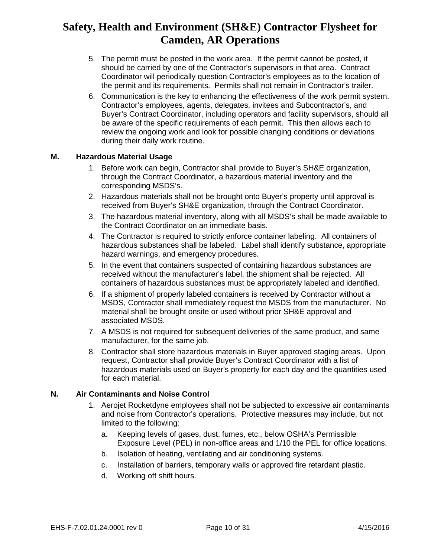- 5. The permit must be posted in the work area. If the permit cannot be posted, it should be carried by one of the Contractor's supervisors in that area. Contract Coordinator will periodically question Contractor's employees as to the location of the permit and its requirements. Permits shall not remain in Contractor's trailer.
- 6. Communication is the key to enhancing the effectiveness of the work permit system. Contractor's employees, agents, delegates, invitees and Subcontractor's, and Buyer's Contract Coordinator, including operators and facility supervisors, should all be aware of the specific requirements of each permit. This then allows each to review the ongoing work and look for possible changing conditions or deviations during their daily work routine.

#### **M. Hazardous Material Usage**

- 1. Before work can begin, Contractor shall provide to Buyer's SH&E organization, through the Contract Coordinator, a hazardous material inventory and the corresponding MSDS's.
- 2. Hazardous materials shall not be brought onto Buyer's property until approval is received from Buyer's SH&E organization, through the Contract Coordinator.
- 3. The hazardous material inventory, along with all MSDS's shall be made available to the Contract Coordinator on an immediate basis.
- 4. The Contractor is required to strictly enforce container labeling. All containers of hazardous substances shall be labeled. Label shall identify substance, appropriate hazard warnings, and emergency procedures.
- 5. In the event that containers suspected of containing hazardous substances are received without the manufacturer's label, the shipment shall be rejected. All containers of hazardous substances must be appropriately labeled and identified.
- 6. If a shipment of properly labeled containers is received by Contractor without a MSDS, Contractor shall immediately request the MSDS from the manufacturer. No material shall be brought onsite or used without prior SH&E approval and associated MSDS.
- 7. A MSDS is not required for subsequent deliveries of the same product, and same manufacturer, for the same job.
- 8. Contractor shall store hazardous materials in Buyer approved staging areas. Upon request, Contractor shall provide Buyer's Contract Coordinator with a list of hazardous materials used on Buyer's property for each day and the quantities used for each material.

#### **N. Air Contaminants and Noise Control**

- 1. Aerojet Rocketdyne employees shall not be subjected to excessive air contaminants and noise from Contractor's operations. Protective measures may include, but not limited to the following:
	- a. Keeping levels of gases, dust, fumes, etc., below OSHA's Permissible Exposure Level (PEL) in non-office areas and 1/10 the PEL for office locations.
	- b. Isolation of heating, ventilating and air conditioning systems.
	- c. Installation of barriers, temporary walls or approved fire retardant plastic.
	- d. Working off shift hours.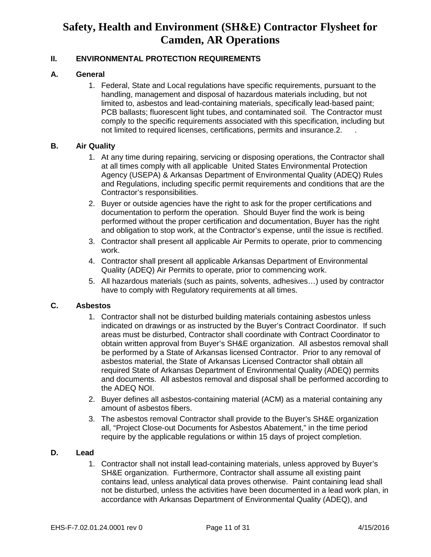### **II. ENVIRONMENTAL PROTECTION REQUIREMENTS**

#### **A. General**

1. Federal, State and Local regulations have specific requirements, pursuant to the handling, management and disposal of hazardous materials including, but not limited to, asbestos and lead-containing materials, specifically lead-based paint; PCB ballasts; fluorescent light tubes, and contaminated soil. The Contractor must comply to the specific requirements associated with this specification, including but not limited to required licenses, certifications, permits and insurance.2. .

#### **B. Air Quality**

- 1. At any time during repairing, servicing or disposing operations, the Contractor shall at all times comply with all applicable United States Environmental Protection Agency (USEPA) & Arkansas Department of Environmental Quality (ADEQ) Rules and Regulations, including specific permit requirements and conditions that are the Contractor's responsibilities.
- 2. Buyer or outside agencies have the right to ask for the proper certifications and documentation to perform the operation. Should Buyer find the work is being performed without the proper certification and documentation, Buyer has the right and obligation to stop work, at the Contractor's expense, until the issue is rectified.
- 3. Contractor shall present all applicable Air Permits to operate, prior to commencing work.
- 4. Contractor shall present all applicable Arkansas Department of Environmental Quality (ADEQ) Air Permits to operate, prior to commencing work.
- 5. All hazardous materials (such as paints, solvents, adhesives…) used by contractor have to comply with Regulatory requirements at all times.

#### **C. Asbestos**

- 1. Contractor shall not be disturbed building materials containing asbestos unless indicated on drawings or as instructed by the Buyer's Contract Coordinator. If such areas must be disturbed, Contractor shall coordinate with Contract Coordinator to obtain written approval from Buyer's SH&E organization. All asbestos removal shall be performed by a State of Arkansas licensed Contractor. Prior to any removal of asbestos material, the State of Arkansas Licensed Contractor shall obtain all required State of Arkansas Department of Environmental Quality (ADEQ) permits and documents. All asbestos removal and disposal shall be performed according to the ADEQ NOI.
- 2. Buyer defines all asbestos-containing material (ACM) as a material containing any amount of asbestos fibers.
- 3. The asbestos removal Contractor shall provide to the Buyer's SH&E organization all, "Project Close-out Documents for Asbestos Abatement," in the time period require by the applicable regulations or within 15 days of project completion.

#### **D. Lead**

1. Contractor shall not install lead-containing materials, unless approved by Buyer's SH&E organization. Furthermore, Contractor shall assume all existing paint contains lead, unless analytical data proves otherwise. Paint containing lead shall not be disturbed, unless the activities have been documented in a lead work plan, in accordance with Arkansas Department of Environmental Quality (ADEQ), and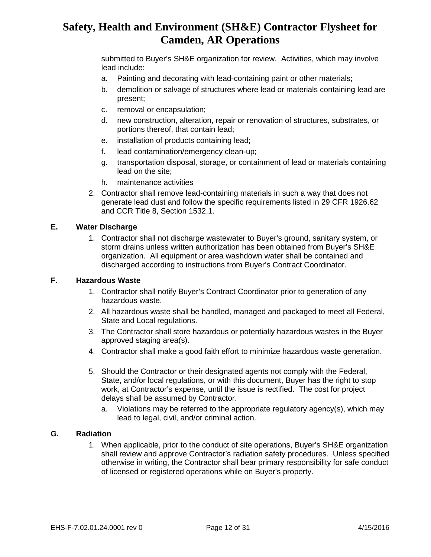submitted to Buyer's SH&E organization for review. Activities, which may involve lead include:

- a. Painting and decorating with lead-containing paint or other materials;
- b. demolition or salvage of structures where lead or materials containing lead are present;
- c. removal or encapsulation;
- d. new construction, alteration, repair or renovation of structures, substrates, or portions thereof, that contain lead;
- e. installation of products containing lead;
- f. lead contamination/emergency clean-up;
- g. transportation disposal, storage, or containment of lead or materials containing lead on the site;
- h. maintenance activities
- 2. Contractor shall remove lead-containing materials in such a way that does not generate lead dust and follow the specific requirements listed in 29 CFR 1926.62 and CCR Title 8, Section 1532.1.

### **E. Water Discharge**

1. Contractor shall not discharge wastewater to Buyer's ground, sanitary system, or storm drains unless written authorization has been obtained from Buyer's SH&E organization. All equipment or area washdown water shall be contained and discharged according to instructions from Buyer's Contract Coordinator.

#### **F. Hazardous Waste**

- 1. Contractor shall notify Buyer's Contract Coordinator prior to generation of any hazardous waste.
- 2. All hazardous waste shall be handled, managed and packaged to meet all Federal, State and Local regulations.
- 3. The Contractor shall store hazardous or potentially hazardous wastes in the Buyer approved staging area(s).
- 4. Contractor shall make a good faith effort to minimize hazardous waste generation.
- 5. Should the Contractor or their designated agents not comply with the Federal, State, and/or local regulations, or with this document, Buyer has the right to stop work, at Contractor's expense, until the issue is rectified. The cost for project delays shall be assumed by Contractor.
	- a. Violations may be referred to the appropriate regulatory agency(s), which may lead to legal, civil, and/or criminal action.

#### **G. Radiation**

1. When applicable, prior to the conduct of site operations, Buyer's SH&E organization shall review and approve Contractor's radiation safety procedures. Unless specified otherwise in writing, the Contractor shall bear primary responsibility for safe conduct of licensed or registered operations while on Buyer's property.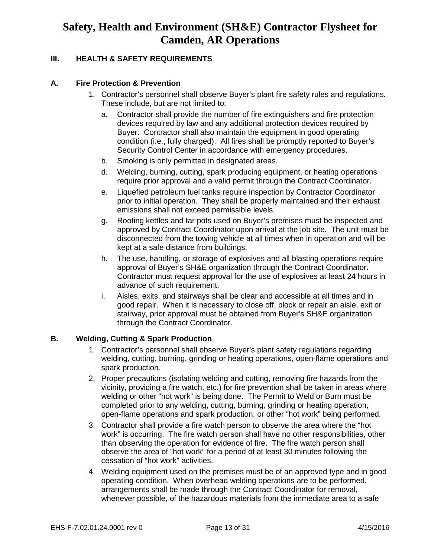### **III. HEALTH & SAFETY REQUIREMENTS**

#### **A. Fire Protection & Prevention**

- 1. Contractor's personnel shall observe Buyer's plant fire safety rules and regulations. These include, but are not limited to:
	- a. Contractor shall provide the number of fire extinguishers and fire protection devices required by law and any additional protection devices required by Buyer. Contractor shall also maintain the equipment in good operating condition (i.e., fully charged). All fires shall be promptly reported to Buyer's Security Control Center in accordance with emergency procedures.
	- b. Smoking is only permitted in designated areas.
	- d. Welding, burning, cutting, spark producing equipment, or heating operations require prior approval and a valid permit through the Contract Coordinator.
	- e. Liquefied petroleum fuel tanks require inspection by Contractor Coordinator prior to initial operation. They shall be properly maintained and their exhaust emissions shall not exceed permissible levels.
	- g. Roofing kettles and tar pots used on Buyer's premises must be inspected and approved by Contract Coordinator upon arrival at the job site. The unit must be disconnected from the towing vehicle at all times when in operation and will be kept at a safe distance from buildings.
	- h. The use, handling, or storage of explosives and all blasting operations require approval of Buyer's SH&E organization through the Contract Coordinator. Contractor must request approval for the use of explosives at least 24 hours in advance of such requirement.
	- i. Aisles, exits, and stairways shall be clear and accessible at all times and in good repair. When it is necessary to close off, block or repair an aisle, exit or stairway, prior approval must be obtained from Buyer's SH&E organization through the Contract Coordinator.

#### **B. Welding, Cutting & Spark Production**

- 1. Contractor's personnel shall observe Buyer's plant safety regulations regarding welding, cutting, burning, grinding or heating operations, open-flame operations and spark production.
- 2. Proper precautions (isolating welding and cutting, removing fire hazards from the vicinity, providing a fire watch, etc.) for fire prevention shall be taken in areas where welding or other "hot work" is being done. The Permit to Weld or Burn must be completed prior to any welding, cutting, burning, grinding or heating operation, open-flame operations and spark production, or other "hot work" being performed.
- 3. Contractor shall provide a fire watch person to observe the area where the "hot work" is occurring. The fire watch person shall have no other responsibilities, other than observing the operation for evidence of fire. The fire watch person shall observe the area of "hot work" for a period of at least 30 minutes following the cessation of "hot work" activities.
- 4. Welding equipment used on the premises must be of an approved type and in good operating condition. When overhead welding operations are to be performed, arrangements shall be made through the Contract Coordinator for removal, whenever possible, of the hazardous materials from the immediate area to a safe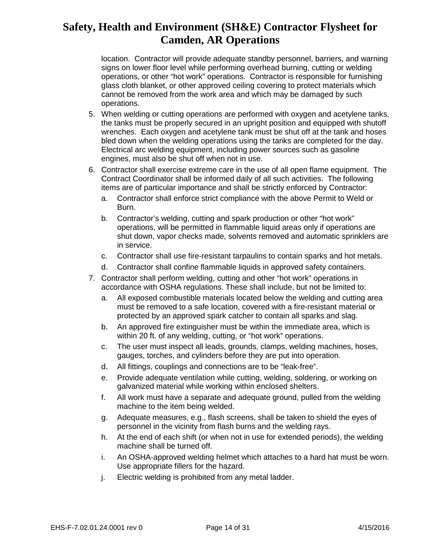location. Contractor will provide adequate standby personnel, barriers, and warning signs on lower floor level while performing overhead burning, cutting or welding operations, or other "hot work" operations. Contractor is responsible for furnishing glass cloth blanket, or other approved ceiling covering to protect materials which cannot be removed from the work area and which may be damaged by such operations.

- 5. When welding or cutting operations are performed with oxygen and acetylene tanks, the tanks must be properly secured in an upright position and equipped with shutoff wrenches. Each oxygen and acetylene tank must be shut off at the tank and hoses bled down when the welding operations using the tanks are completed for the day. Electrical arc welding equipment, including power sources such as gasoline engines, must also be shut off when not in use.
- 6. Contractor shall exercise extreme care in the use of all open flame equipment. The Contract Coordinator shall be informed daily of all such activities. The following items are of particular importance and shall be strictly enforced by Contractor:
	- a. Contractor shall enforce strict compliance with the above Permit to Weld or Burn.
	- b. Contractor's welding, cutting and spark production or other "hot work" operations, will be permitted in flammable liquid areas only if operations are shut down, vapor checks made, solvents removed and automatic sprinklers are in service.
	- c. Contractor shall use fire-resistant tarpaulins to contain sparks and hot metals.
	- d. Contractor shall confine flammable liquids in approved safety containers.
- 7. Contractor shall perform welding, cutting and other "hot work" operations in accordance with OSHA regulations. These shall include, but not be limited to:
	- a. All exposed combustible materials located below the welding and cutting area must be removed to a safe location, covered with a fire-resistant material or protected by an approved spark catcher to contain all sparks and slag.
	- b. An approved fire extinguisher must be within the immediate area, which is within 20 ft. of any welding, cutting, or "hot work" operations.
	- c. The user must inspect all leads, grounds, clamps, welding machines, hoses, gauges, torches, and cylinders before they are put into operation.
	- d. All fittings, couplings and connections are to be "leak-free".
	- e. Provide adequate ventilation while cutting, welding, soldering, or working on galvanized material while working within enclosed shelters.
	- f. All work must have a separate and adequate ground, pulled from the welding machine to the item being welded.
	- g. Adequate measures, e.g., flash screens, shall be taken to shield the eyes of personnel in the vicinity from flash burns and the welding rays.
	- h. At the end of each shift (or when not in use for extended periods), the welding machine shall be turned off.
	- i. An OSHA-approved welding helmet which attaches to a hard hat must be worn. Use appropriate fillers for the hazard.
	- j. Electric welding is prohibited from any metal ladder.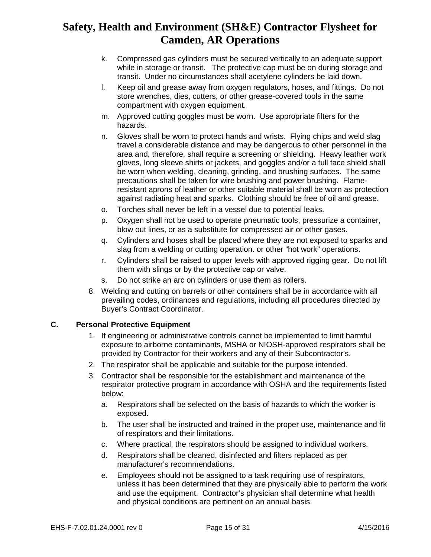- k. Compressed gas cylinders must be secured vertically to an adequate support while in storage or transit. The protective cap must be on during storage and transit. Under no circumstances shall acetylene cylinders be laid down.
- l. Keep oil and grease away from oxygen regulators, hoses, and fittings. Do not store wrenches, dies, cutters, or other grease-covered tools in the same compartment with oxygen equipment.
- m. Approved cutting goggles must be worn. Use appropriate filters for the hazards.
- n. Gloves shall be worn to protect hands and wrists. Flying chips and weld slag travel a considerable distance and may be dangerous to other personnel in the area and, therefore, shall require a screening or shielding. Heavy leather work gloves, long sleeve shirts or jackets, and goggles and/or a full face shield shall be worn when welding, cleaning, grinding, and brushing surfaces. The same precautions shall be taken for wire brushing and power brushing. Flameresistant aprons of leather or other suitable material shall be worn as protection against radiating heat and sparks. Clothing should be free of oil and grease.
- o. Torches shall never be left in a vessel due to potential leaks.
- p. Oxygen shall not be used to operate pneumatic tools, pressurize a container, blow out lines, or as a substitute for compressed air or other gases.
- q. Cylinders and hoses shall be placed where they are not exposed to sparks and slag from a welding or cutting operation. or other "hot work" operations.
- r. Cylinders shall be raised to upper levels with approved rigging gear. Do not lift them with slings or by the protective cap or valve.
- s. Do not strike an arc on cylinders or use them as rollers.
- 8. Welding and cutting on barrels or other containers shall be in accordance with all prevailing codes, ordinances and regulations, including all procedures directed by Buyer's Contract Coordinator.

### **C. Personal Protective Equipment**

- 1. If engineering or administrative controls cannot be implemented to limit harmful exposure to airborne contaminants, MSHA or NIOSH-approved respirators shall be provided by Contractor for their workers and any of their Subcontractor's.
- 2. The respirator shall be applicable and suitable for the purpose intended.
- 3. Contractor shall be responsible for the establishment and maintenance of the respirator protective program in accordance with OSHA and the requirements listed below:
	- a. Respirators shall be selected on the basis of hazards to which the worker is exposed.
	- b. The user shall be instructed and trained in the proper use, maintenance and fit of respirators and their limitations.
	- c. Where practical, the respirators should be assigned to individual workers.
	- d. Respirators shall be cleaned, disinfected and filters replaced as per manufacturer's recommendations.
	- e. Employees should not be assigned to a task requiring use of respirators, unless it has been determined that they are physically able to perform the work and use the equipment. Contractor's physician shall determine what health and physical conditions are pertinent on an annual basis.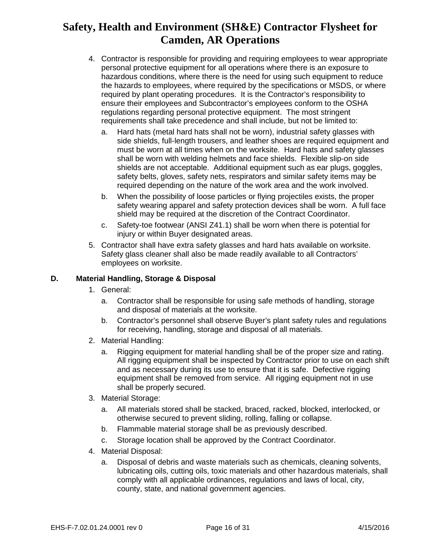- 4. Contractor is responsible for providing and requiring employees to wear appropriate personal protective equipment for all operations where there is an exposure to hazardous conditions, where there is the need for using such equipment to reduce the hazards to employees, where required by the specifications or MSDS, or where required by plant operating procedures. It is the Contractor's responsibility to ensure their employees and Subcontractor's employees conform to the OSHA regulations regarding personal protective equipment. The most stringent requirements shall take precedence and shall include, but not be limited to:
	- a. Hard hats (metal hard hats shall not be worn), industrial safety glasses with side shields, full-length trousers, and leather shoes are required equipment and must be worn at all times when on the worksite. Hard hats and safety glasses shall be worn with welding helmets and face shields. Flexible slip-on side shields are not acceptable. Additional equipment such as ear plugs, goggles, safety belts, gloves, safety nets, respirators and similar safety items may be required depending on the nature of the work area and the work involved.
	- b. When the possibility of loose particles or flying projectiles exists, the proper safety wearing apparel and safety protection devices shall be worn. A full face shield may be required at the discretion of the Contract Coordinator.
	- c. Safety-toe footwear (ANSI Z41.1) shall be worn when there is potential for injury or within Buyer designated areas.
- 5. Contractor shall have extra safety glasses and hard hats available on worksite. Safety glass cleaner shall also be made readily available to all Contractors' employees on worksite.

### **D. Material Handling, Storage & Disposal**

- 1. General:
	- a. Contractor shall be responsible for using safe methods of handling, storage and disposal of materials at the worksite.
	- b. Contractor's personnel shall observe Buyer's plant safety rules and regulations for receiving, handling, storage and disposal of all materials.
- 2. Material Handling:
	- a. Rigging equipment for material handling shall be of the proper size and rating. All rigging equipment shall be inspected by Contractor prior to use on each shift and as necessary during its use to ensure that it is safe. Defective rigging equipment shall be removed from service. All rigging equipment not in use shall be properly secured.
- 3. Material Storage:
	- a. All materials stored shall be stacked, braced, racked, blocked, interlocked, or otherwise secured to prevent sliding, rolling, falling or collapse.
	- b. Flammable material storage shall be as previously described.
	- c. Storage location shall be approved by the Contract Coordinator.
- 4. Material Disposal:
	- a. Disposal of debris and waste materials such as chemicals, cleaning solvents, lubricating oils, cutting oils, toxic materials and other hazardous materials, shall comply with all applicable ordinances, regulations and laws of local, city, county, state, and national government agencies.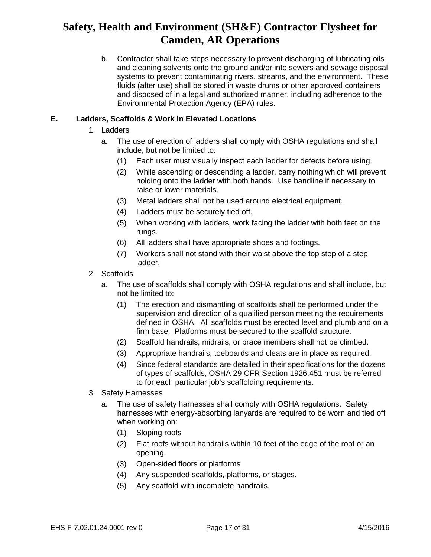b. Contractor shall take steps necessary to prevent discharging of lubricating oils and cleaning solvents onto the ground and/or into sewers and sewage disposal systems to prevent contaminating rivers, streams, and the environment. These fluids (after use) shall be stored in waste drums or other approved containers and disposed of in a legal and authorized manner, including adherence to the Environmental Protection Agency (EPA) rules.

### **E. Ladders, Scaffolds & Work in Elevated Locations**

- 1. Ladders
	- a. The use of erection of ladders shall comply with OSHA regulations and shall include, but not be limited to:
		- (1) Each user must visually inspect each ladder for defects before using.
		- (2) While ascending or descending a ladder, carry nothing which will prevent holding onto the ladder with both hands. Use handline if necessary to raise or lower materials.
		- (3) Metal ladders shall not be used around electrical equipment.
		- (4) Ladders must be securely tied off.
		- (5) When working with ladders, work facing the ladder with both feet on the rungs.
		- (6) All ladders shall have appropriate shoes and footings.
		- (7) Workers shall not stand with their waist above the top step of a step ladder.
- 2. Scaffolds
	- a. The use of scaffolds shall comply with OSHA regulations and shall include, but not be limited to:
		- (1) The erection and dismantling of scaffolds shall be performed under the supervision and direction of a qualified person meeting the requirements defined in OSHA. All scaffolds must be erected level and plumb and on a firm base. Platforms must be secured to the scaffold structure.
		- (2) Scaffold handrails, midrails, or brace members shall not be climbed.
		- (3) Appropriate handrails, toeboards and cleats are in place as required.
		- (4) Since federal standards are detailed in their specifications for the dozens of types of scaffolds, OSHA 29 CFR Section 1926.451 must be referred to for each particular job's scaffolding requirements.
- 3. Safety Harnesses
	- a. The use of safety harnesses shall comply with OSHA regulations. Safety harnesses with energy-absorbing lanyards are required to be worn and tied off when working on:
		- (1) Sloping roofs
		- (2) Flat roofs without handrails within 10 feet of the edge of the roof or an opening.
		- (3) Open-sided floors or platforms
		- (4) Any suspended scaffolds, platforms, or stages.
		- (5) Any scaffold with incomplete handrails.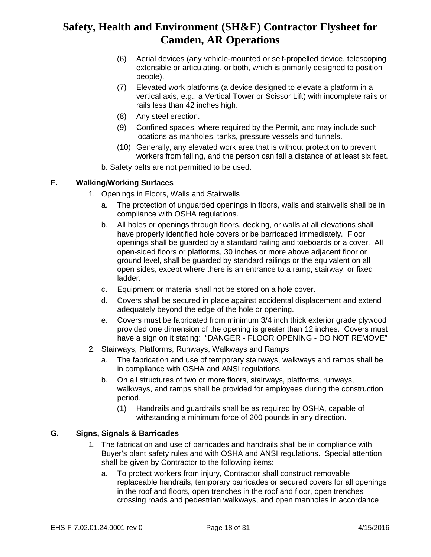- (6) Aerial devices (any vehicle-mounted or self-propelled device, telescoping extensible or articulating, or both, which is primarily designed to position people).
- (7) Elevated work platforms (a device designed to elevate a platform in a vertical axis, e.g., a Vertical Tower or Scissor Lift) with incomplete rails or rails less than 42 inches high.
- (8) Any steel erection.
- (9) Confined spaces, where required by the Permit, and may include such locations as manholes, tanks, pressure vessels and tunnels.
- (10) Generally, any elevated work area that is without protection to prevent workers from falling, and the person can fall a distance of at least six feet.
- b. Safety belts are not permitted to be used.

### **F. Walking/Working Surfaces**

- 1. Openings in Floors, Walls and Stairwells
	- a. The protection of unguarded openings in floors, walls and stairwells shall be in compliance with OSHA regulations.
	- b. All holes or openings through floors, decking, or walls at all elevations shall have properly identified hole covers or be barricaded immediately. Floor openings shall be guarded by a standard railing and toeboards or a cover. All open-sided floors or platforms, 30 inches or more above adjacent floor or ground level, shall be guarded by standard railings or the equivalent on all open sides, except where there is an entrance to a ramp, stairway, or fixed ladder.
	- c. Equipment or material shall not be stored on a hole cover.
	- d. Covers shall be secured in place against accidental displacement and extend adequately beyond the edge of the hole or opening.
	- e. Covers must be fabricated from minimum 3/4 inch thick exterior grade plywood provided one dimension of the opening is greater than 12 inches. Covers must have a sign on it stating: "DANGER - FLOOR OPENING - DO NOT REMOVE"
- 2. Stairways, Platforms, Runways, Walkways and Ramps
	- a. The fabrication and use of temporary stairways, walkways and ramps shall be in compliance with OSHA and ANSI regulations.
	- b. On all structures of two or more floors, stairways, platforms, runways, walkways, and ramps shall be provided for employees during the construction period.
		- (1) Handrails and guardrails shall be as required by OSHA, capable of withstanding a minimum force of 200 pounds in any direction.

### **G. Signs, Signals & Barricades**

- 1. The fabrication and use of barricades and handrails shall be in compliance with Buyer's plant safety rules and with OSHA and ANSI regulations. Special attention shall be given by Contractor to the following items:
	- a. To protect workers from injury, Contractor shall construct removable replaceable handrails, temporary barricades or secured covers for all openings in the roof and floors, open trenches in the roof and floor, open trenches crossing roads and pedestrian walkways, and open manholes in accordance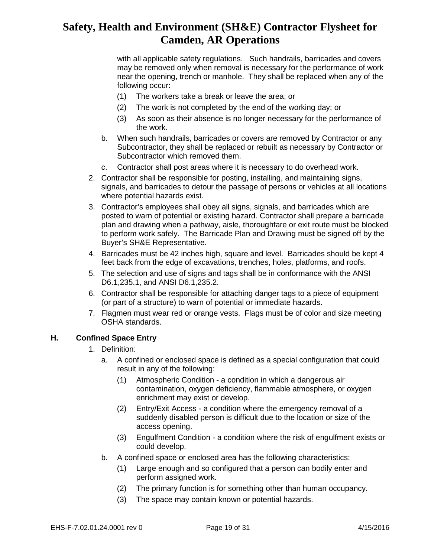with all applicable safety regulations. Such handrails, barricades and covers may be removed only when removal is necessary for the performance of work near the opening, trench or manhole. They shall be replaced when any of the following occur:

- (1) The workers take a break or leave the area; or
- (2) The work is not completed by the end of the working day; or
- (3) As soon as their absence is no longer necessary for the performance of the work.
- b. When such handrails, barricades or covers are removed by Contractor or any Subcontractor, they shall be replaced or rebuilt as necessary by Contractor or Subcontractor which removed them.
- c. Contractor shall post areas where it is necessary to do overhead work.
- 2. Contractor shall be responsible for posting, installing, and maintaining signs, signals, and barricades to detour the passage of persons or vehicles at all locations where potential hazards exist.
- 3. Contractor's employees shall obey all signs, signals, and barricades which are posted to warn of potential or existing hazard. Contractor shall prepare a barricade plan and drawing when a pathway, aisle, thoroughfare or exit route must be blocked to perform work safely. The Barricade Plan and Drawing must be signed off by the Buyer's SH&E Representative.
- 4. Barricades must be 42 inches high, square and level. Barricades should be kept 4 feet back from the edge of excavations, trenches, holes, platforms, and roofs.
- 5. The selection and use of signs and tags shall be in conformance with the ANSI D6.1,235.1, and ANSI D6.1,235.2.
- 6. Contractor shall be responsible for attaching danger tags to a piece of equipment (or part of a structure) to warn of potential or immediate hazards.
- 7. Flagmen must wear red or orange vests. Flags must be of color and size meeting OSHA standards.

#### **H. Confined Space Entry**

- 1. Definition:
	- a. A confined or enclosed space is defined as a special configuration that could result in any of the following:
		- (1) Atmospheric Condition a condition in which a dangerous air contamination, oxygen deficiency, flammable atmosphere, or oxygen enrichment may exist or develop.
		- (2) Entry/Exit Access a condition where the emergency removal of a suddenly disabled person is difficult due to the location or size of the access opening.
		- (3) Engulfment Condition a condition where the risk of engulfment exists or could develop.
	- b. A confined space or enclosed area has the following characteristics:
		- (1) Large enough and so configured that a person can bodily enter and perform assigned work.
		- (2) The primary function is for something other than human occupancy.
		- (3) The space may contain known or potential hazards.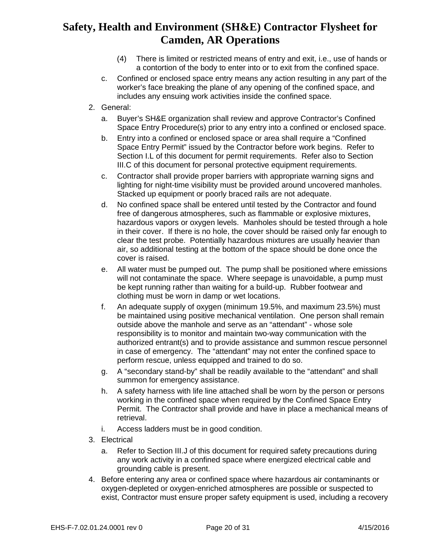- (4) There is limited or restricted means of entry and exit, i.e., use of hands or a contortion of the body to enter into or to exit from the confined space.
- c. Confined or enclosed space entry means any action resulting in any part of the worker's face breaking the plane of any opening of the confined space, and includes any ensuing work activities inside the confined space.
- 2. General:
	- a. Buyer's SH&E organization shall review and approve Contractor's Confined Space Entry Procedure(s) prior to any entry into a confined or enclosed space.
	- b. Entry into a confined or enclosed space or area shall require a "Confined Space Entry Permit" issued by the Contractor before work begins. Refer to Section I.L of this document for permit requirements. Refer also to Section III.C of this document for personal protective equipment requirements.
	- c. Contractor shall provide proper barriers with appropriate warning signs and lighting for night-time visibility must be provided around uncovered manholes. Stacked up equipment or poorly braced rails are not adequate.
	- d. No confined space shall be entered until tested by the Contractor and found free of dangerous atmospheres, such as flammable or explosive mixtures, hazardous vapors or oxygen levels. Manholes should be tested through a hole in their cover. If there is no hole, the cover should be raised only far enough to clear the test probe. Potentially hazardous mixtures are usually heavier than air, so additional testing at the bottom of the space should be done once the cover is raised.
	- e. All water must be pumped out. The pump shall be positioned where emissions will not contaminate the space. Where seepage is unavoidable, a pump must be kept running rather than waiting for a build-up. Rubber footwear and clothing must be worn in damp or wet locations.
	- f. An adequate supply of oxygen (minimum 19.5%, and maximum 23.5%) must be maintained using positive mechanical ventilation. One person shall remain outside above the manhole and serve as an "attendant" - whose sole responsibility is to monitor and maintain two-way communication with the authorized entrant(s) and to provide assistance and summon rescue personnel in case of emergency. The "attendant" may not enter the confined space to perform rescue, unless equipped and trained to do so.
	- g. A "secondary stand-by" shall be readily available to the "attendant" and shall summon for emergency assistance.
	- h. A safety harness with life line attached shall be worn by the person or persons working in the confined space when required by the Confined Space Entry Permit. The Contractor shall provide and have in place a mechanical means of retrieval.
	- i. Access ladders must be in good condition.
- 3. Electrical
	- a. Refer to Section III.J of this document for required safety precautions during any work activity in a confined space where energized electrical cable and grounding cable is present.
- 4. Before entering any area or confined space where hazardous air contaminants or oxygen-depleted or oxygen-enriched atmospheres are possible or suspected to exist, Contractor must ensure proper safety equipment is used, including a recovery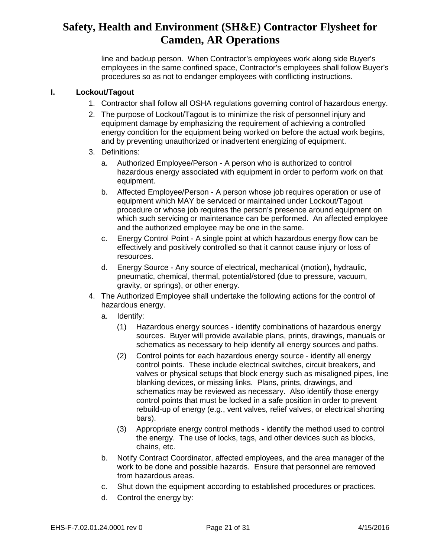line and backup person. When Contractor's employees work along side Buyer's employees in the same confined space, Contractor's employees shall follow Buyer's procedures so as not to endanger employees with conflicting instructions.

#### **I. Lockout/Tagout**

- 1. Contractor shall follow all OSHA regulations governing control of hazardous energy.
- 2. The purpose of Lockout/Tagout is to minimize the risk of personnel injury and equipment damage by emphasizing the requirement of achieving a controlled energy condition for the equipment being worked on before the actual work begins, and by preventing unauthorized or inadvertent energizing of equipment.
- 3. Definitions:
	- a. Authorized Employee/Person A person who is authorized to control hazardous energy associated with equipment in order to perform work on that equipment.
	- b. Affected Employee/Person A person whose job requires operation or use of equipment which MAY be serviced or maintained under Lockout/Tagout procedure or whose job requires the person's presence around equipment on which such servicing or maintenance can be performed. An affected employee and the authorized employee may be one in the same.
	- c. Energy Control Point A single point at which hazardous energy flow can be effectively and positively controlled so that it cannot cause injury or loss of resources.
	- d. Energy Source Any source of electrical, mechanical (motion), hydraulic, pneumatic, chemical, thermal, potential/stored (due to pressure, vacuum, gravity, or springs), or other energy.
- 4. The Authorized Employee shall undertake the following actions for the control of hazardous energy.
	- a. Identify:
		- (1) Hazardous energy sources identify combinations of hazardous energy sources. Buyer will provide available plans, prints, drawings, manuals or schematics as necessary to help identify all energy sources and paths.
		- (2) Control points for each hazardous energy source identify all energy control points. These include electrical switches, circuit breakers, and valves or physical setups that block energy such as misaligned pipes, line blanking devices, or missing links. Plans, prints, drawings, and schematics may be reviewed as necessary. Also identify those energy control points that must be locked in a safe position in order to prevent rebuild-up of energy (e.g., vent valves, relief valves, or electrical shorting bars).
		- (3) Appropriate energy control methods identify the method used to control the energy. The use of locks, tags, and other devices such as blocks, chains, etc.
	- b. Notify Contract Coordinator, affected employees, and the area manager of the work to be done and possible hazards. Ensure that personnel are removed from hazardous areas.
	- c. Shut down the equipment according to established procedures or practices.
	- d. Control the energy by: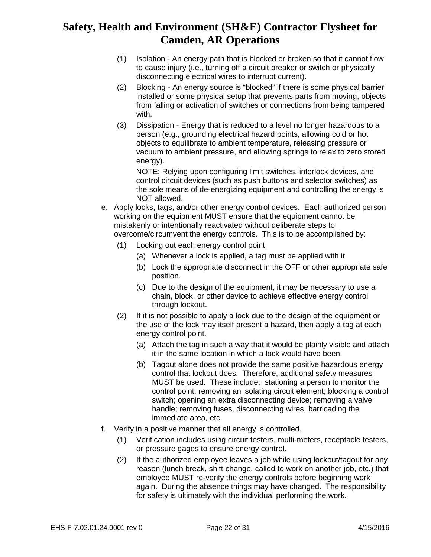- (1) Isolation An energy path that is blocked or broken so that it cannot flow to cause injury (i.e., turning off a circuit breaker or switch or physically disconnecting electrical wires to interrupt current).
- (2) Blocking An energy source is "blocked" if there is some physical barrier installed or some physical setup that prevents parts from moving, objects from falling or activation of switches or connections from being tampered with.
- (3) Dissipation Energy that is reduced to a level no longer hazardous to a person (e.g., grounding electrical hazard points, allowing cold or hot objects to equilibrate to ambient temperature, releasing pressure or vacuum to ambient pressure, and allowing springs to relax to zero stored energy).

NOTE: Relying upon configuring limit switches, interlock devices, and control circuit devices (such as push buttons and selector switches) as the sole means of de-energizing equipment and controlling the energy is NOT allowed.

- e. Apply locks, tags, and/or other energy control devices. Each authorized person working on the equipment MUST ensure that the equipment cannot be mistakenly or intentionally reactivated without deliberate steps to overcome/circumvent the energy controls. This is to be accomplished by:
	- (1) Locking out each energy control point
		- (a) Whenever a lock is applied, a tag must be applied with it.
		- (b) Lock the appropriate disconnect in the OFF or other appropriate safe position.
		- (c) Due to the design of the equipment, it may be necessary to use a chain, block, or other device to achieve effective energy control through lockout.
	- (2) If it is not possible to apply a lock due to the design of the equipment or the use of the lock may itself present a hazard, then apply a tag at each energy control point.
		- (a) Attach the tag in such a way that it would be plainly visible and attach it in the same location in which a lock would have been.
		- (b) Tagout alone does not provide the same positive hazardous energy control that lockout does. Therefore, additional safety measures MUST be used. These include: stationing a person to monitor the control point; removing an isolating circuit element; blocking a control switch; opening an extra disconnecting device; removing a valve handle; removing fuses, disconnecting wires, barricading the immediate area, etc.
- f. Verify in a positive manner that all energy is controlled.
	- (1) Verification includes using circuit testers, multi-meters, receptacle testers, or pressure gages to ensure energy control.
	- (2) If the authorized employee leaves a job while using lockout/tagout for any reason (lunch break, shift change, called to work on another job, etc.) that employee MUST re-verify the energy controls before beginning work again. During the absence things may have changed. The responsibility for safety is ultimately with the individual performing the work.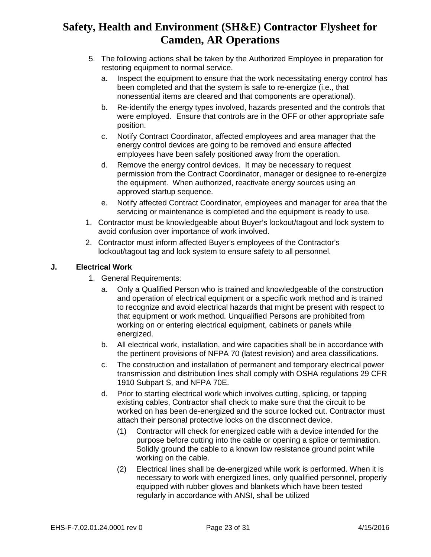- 5. The following actions shall be taken by the Authorized Employee in preparation for restoring equipment to normal service.
	- a. Inspect the equipment to ensure that the work necessitating energy control has been completed and that the system is safe to re-energize (i.e., that nonessential items are cleared and that components are operational).
	- b. Re-identify the energy types involved, hazards presented and the controls that were employed. Ensure that controls are in the OFF or other appropriate safe position.
	- c. Notify Contract Coordinator, affected employees and area manager that the energy control devices are going to be removed and ensure affected employees have been safely positioned away from the operation.
	- d. Remove the energy control devices. It may be necessary to request permission from the Contract Coordinator, manager or designee to re-energize the equipment. When authorized, reactivate energy sources using an approved startup sequence.
	- e. Notify affected Contract Coordinator, employees and manager for area that the servicing or maintenance is completed and the equipment is ready to use.
- 1. Contractor must be knowledgeable about Buyer's lockout/tagout and lock system to avoid confusion over importance of work involved.
- 2. Contractor must inform affected Buyer's employees of the Contractor's lockout/tagout tag and lock system to ensure safety to all personnel.

### **J. Electrical Work**

- 1. General Requirements:
	- a. Only a Qualified Person who is trained and knowledgeable of the construction and operation of electrical equipment or a specific work method and is trained to recognize and avoid electrical hazards that might be present with respect to that equipment or work method. Unqualified Persons are prohibited from working on or entering electrical equipment, cabinets or panels while energized.
	- b. All electrical work, installation, and wire capacities shall be in accordance with the pertinent provisions of NFPA 70 (latest revision) and area classifications.
	- c. The construction and installation of permanent and temporary electrical power transmission and distribution lines shall comply with OSHA regulations 29 CFR 1910 Subpart S, and NFPA 70E.
	- d. Prior to starting electrical work which involves cutting, splicing, or tapping existing cables, Contractor shall check to make sure that the circuit to be worked on has been de-energized and the source locked out. Contractor must attach their personal protective locks on the disconnect device.
		- (1) Contractor will check for energized cable with a device intended for the purpose before cutting into the cable or opening a splice or termination. Solidly ground the cable to a known low resistance ground point while working on the cable.
		- (2) Electrical lines shall be de-energized while work is performed. When it is necessary to work with energized lines, only qualified personnel, properly equipped with rubber gloves and blankets which have been tested regularly in accordance with ANSI, shall be utilized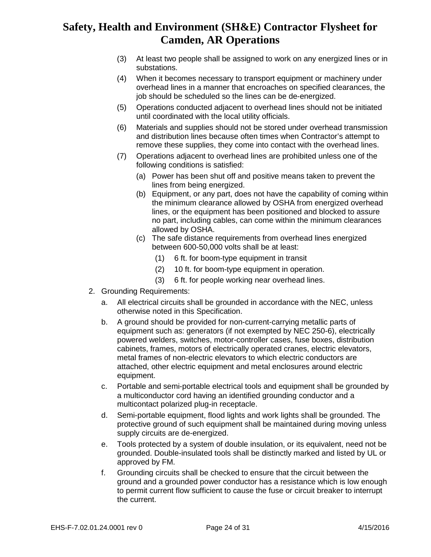- (3) At least two people shall be assigned to work on any energized lines or in substations.
- (4) When it becomes necessary to transport equipment or machinery under overhead lines in a manner that encroaches on specified clearances, the job should be scheduled so the lines can be de-energized.
- (5) Operations conducted adjacent to overhead lines should not be initiated until coordinated with the local utility officials.
- (6) Materials and supplies should not be stored under overhead transmission and distribution lines because often times when Contractor's attempt to remove these supplies, they come into contact with the overhead lines.
- (7) Operations adjacent to overhead lines are prohibited unless one of the following conditions is satisfied:
	- (a) Power has been shut off and positive means taken to prevent the lines from being energized.
	- (b) Equipment, or any part, does not have the capability of coming within the minimum clearance allowed by OSHA from energized overhead lines, or the equipment has been positioned and blocked to assure no part, including cables, can come within the minimum clearances allowed by OSHA.
	- (c) The safe distance requirements from overhead lines energized between 600-50,000 volts shall be at least:
		- (1) 6 ft. for boom-type equipment in transit
		- (2) 10 ft. for boom-type equipment in operation.
		- (3) 6 ft. for people working near overhead lines.
- 2. Grounding Requirements:
	- a. All electrical circuits shall be grounded in accordance with the NEC, unless otherwise noted in this Specification.
	- b. A ground should be provided for non-current-carrying metallic parts of equipment such as: generators (if not exempted by NEC 250-6), electrically powered welders, switches, motor-controller cases, fuse boxes, distribution cabinets, frames, motors of electrically operated cranes, electric elevators, metal frames of non-electric elevators to which electric conductors are attached, other electric equipment and metal enclosures around electric equipment.
	- c. Portable and semi-portable electrical tools and equipment shall be grounded by a multiconductor cord having an identified grounding conductor and a multicontact polarized plug-in receptacle.
	- d. Semi-portable equipment, flood lights and work lights shall be grounded. The protective ground of such equipment shall be maintained during moving unless supply circuits are de-energized.
	- e. Tools protected by a system of double insulation, or its equivalent, need not be grounded. Double-insulated tools shall be distinctly marked and listed by UL or approved by FM.
	- f. Grounding circuits shall be checked to ensure that the circuit between the ground and a grounded power conductor has a resistance which is low enough to permit current flow sufficient to cause the fuse or circuit breaker to interrupt the current.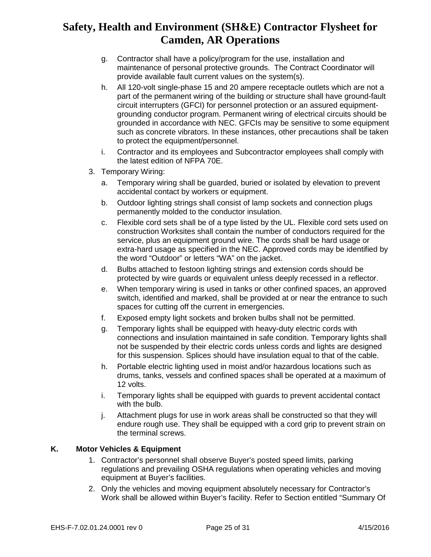- g. Contractor shall have a policy/program for the use, installation and maintenance of personal protective grounds. The Contract Coordinator will provide available fault current values on the system(s).
- h. All 120-volt single-phase 15 and 20 ampere receptacle outlets which are not a part of the permanent wiring of the building or structure shall have ground-fault circuit interrupters (GFCI) for personnel protection or an assured equipmentgrounding conductor program. Permanent wiring of electrical circuits should be grounded in accordance with NEC. GFCIs may be sensitive to some equipment such as concrete vibrators. In these instances, other precautions shall be taken to protect the equipment/personnel.
- i. Contractor and its employees and Subcontractor employees shall comply with the latest edition of NFPA 70E.
- 3. Temporary Wiring:
	- a. Temporary wiring shall be guarded, buried or isolated by elevation to prevent accidental contact by workers or equipment.
	- b. Outdoor lighting strings shall consist of lamp sockets and connection plugs permanently molded to the conductor insulation.
	- c. Flexible cord sets shall be of a type listed by the UL. Flexible cord sets used on construction Worksites shall contain the number of conductors required for the service, plus an equipment ground wire. The cords shall be hard usage or extra-hard usage as specified in the NEC. Approved cords may be identified by the word "Outdoor" or letters "WA" on the jacket.
	- d. Bulbs attached to festoon lighting strings and extension cords should be protected by wire guards or equivalent unless deeply recessed in a reflector.
	- e. When temporary wiring is used in tanks or other confined spaces, an approved switch, identified and marked, shall be provided at or near the entrance to such spaces for cutting off the current in emergencies.
	- f. Exposed empty light sockets and broken bulbs shall not be permitted.
	- g. Temporary lights shall be equipped with heavy-duty electric cords with connections and insulation maintained in safe condition. Temporary lights shall not be suspended by their electric cords unless cords and lights are designed for this suspension. Splices should have insulation equal to that of the cable.
	- h. Portable electric lighting used in moist and/or hazardous locations such as drums, tanks, vessels and confined spaces shall be operated at a maximum of 12 volts.
	- i. Temporary lights shall be equipped with guards to prevent accidental contact with the bulb.
	- j. Attachment plugs for use in work areas shall be constructed so that they will endure rough use. They shall be equipped with a cord grip to prevent strain on the terminal screws.

### **K. Motor Vehicles & Equipment**

- 1. Contractor's personnel shall observe Buyer's posted speed limits, parking regulations and prevailing OSHA regulations when operating vehicles and moving equipment at Buyer's facilities.
- 2. Only the vehicles and moving equipment absolutely necessary for Contractor's Work shall be allowed within Buyer's facility. Refer to Section entitled "Summary Of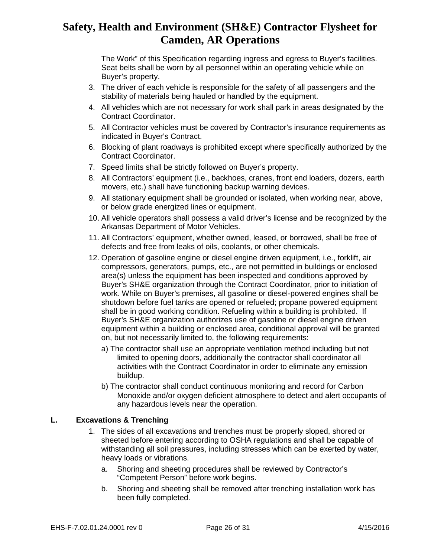The Work" of this Specification regarding ingress and egress to Buyer's facilities. Seat belts shall be worn by all personnel within an operating vehicle while on Buyer's property.

- 3. The driver of each vehicle is responsible for the safety of all passengers and the stability of materials being hauled or handled by the equipment.
- 4. All vehicles which are not necessary for work shall park in areas designated by the Contract Coordinator.
- 5. All Contractor vehicles must be covered by Contractor's insurance requirements as indicated in Buyer's Contract.
- 6. Blocking of plant roadways is prohibited except where specifically authorized by the Contract Coordinator.
- 7. Speed limits shall be strictly followed on Buyer's property.
- 8. All Contractors' equipment (i.e., backhoes, cranes, front end loaders, dozers, earth movers, etc.) shall have functioning backup warning devices.
- 9. All stationary equipment shall be grounded or isolated, when working near, above, or below grade energized lines or equipment.
- 10. All vehicle operators shall possess a valid driver's license and be recognized by the Arkansas Department of Motor Vehicles.
- 11. All Contractors' equipment, whether owned, leased, or borrowed, shall be free of defects and free from leaks of oils, coolants, or other chemicals.
- 12. Operation of gasoline engine or diesel engine driven equipment, i.e., forklift, air compressors, generators, pumps, etc., are not permitted in buildings or enclosed area(s) unless the equipment has been inspected and conditions approved by Buyer's SH&E organization through the Contract Coordinator, prior to initiation of work. While on Buyer's premises, all gasoline or diesel-powered engines shall be shutdown before fuel tanks are opened or refueled; propane powered equipment shall be in good working condition. Refueling within a building is prohibited. If Buyer's SH&E organization authorizes use of gasoline or diesel engine driven equipment within a building or enclosed area, conditional approval will be granted on, but not necessarily limited to, the following requirements:
	- a) The contractor shall use an appropriate ventilation method including but not limited to opening doors, additionally the contractor shall coordinator all activities with the Contract Coordinator in order to eliminate any emission buildup.
	- b) The contractor shall conduct continuous monitoring and record for Carbon Monoxide and/or oxygen deficient atmosphere to detect and alert occupants of any hazardous levels near the operation.

#### **L. Excavations & Trenching**

- 1. The sides of all excavations and trenches must be properly sloped, shored or sheeted before entering according to OSHA regulations and shall be capable of withstanding all soil pressures, including stresses which can be exerted by water, heavy loads or vibrations.
	- a. Shoring and sheeting procedures shall be reviewed by Contractor's "Competent Person" before work begins.
	- b. Shoring and sheeting shall be removed after trenching installation work has been fully completed.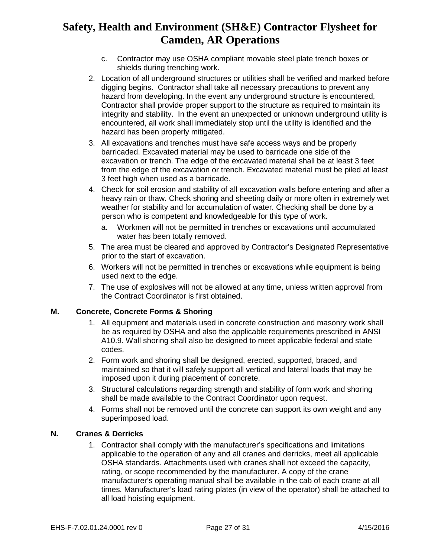- c. Contractor may use OSHA compliant movable steel plate trench boxes or shields during trenching work.
- 2. Location of all underground structures or utilities shall be verified and marked before digging begins. Contractor shall take all necessary precautions to prevent any hazard from developing. In the event any underground structure is encountered, Contractor shall provide proper support to the structure as required to maintain its integrity and stability. In the event an unexpected or unknown underground utility is encountered, all work shall immediately stop until the utility is identified and the hazard has been properly mitigated.
- 3. All excavations and trenches must have safe access ways and be properly barricaded. Excavated material may be used to barricade one side of the excavation or trench. The edge of the excavated material shall be at least 3 feet from the edge of the excavation or trench. Excavated material must be piled at least 3 feet high when used as a barricade.
- 4. Check for soil erosion and stability of all excavation walls before entering and after a heavy rain or thaw. Check shoring and sheeting daily or more often in extremely wet weather for stability and for accumulation of water. Checking shall be done by a person who is competent and knowledgeable for this type of work.
	- a. Workmen will not be permitted in trenches or excavations until accumulated water has been totally removed.
- 5. The area must be cleared and approved by Contractor's Designated Representative prior to the start of excavation.
- 6. Workers will not be permitted in trenches or excavations while equipment is being used next to the edge.
- 7. The use of explosives will not be allowed at any time, unless written approval from the Contract Coordinator is first obtained.

#### **M. Concrete, Concrete Forms & Shoring**

- 1. All equipment and materials used in concrete construction and masonry work shall be as required by OSHA and also the applicable requirements prescribed in ANSI A10.9. Wall shoring shall also be designed to meet applicable federal and state codes.
- 2. Form work and shoring shall be designed, erected, supported, braced, and maintained so that it will safely support all vertical and lateral loads that may be imposed upon it during placement of concrete.
- 3. Structural calculations regarding strength and stability of form work and shoring shall be made available to the Contract Coordinator upon request.
- 4. Forms shall not be removed until the concrete can support its own weight and any superimposed load.

#### **N. Cranes & Derricks**

1. Contractor shall comply with the manufacturer's specifications and limitations applicable to the operation of any and all cranes and derricks, meet all applicable OSHA standards. Attachments used with cranes shall not exceed the capacity, rating, or scope recommended by the manufacturer. A copy of the crane manufacturer's operating manual shall be available in the cab of each crane at all times. Manufacturer's load rating plates (in view of the operator) shall be attached to all load hoisting equipment.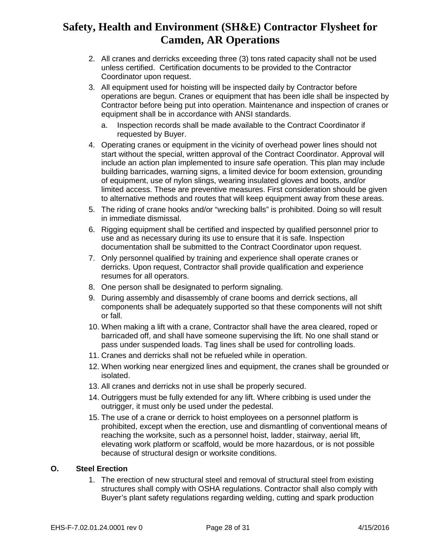- 2. All cranes and derricks exceeding three (3) tons rated capacity shall not be used unless certified. Certification documents to be provided to the Contractor Coordinator upon request.
- 3. All equipment used for hoisting will be inspected daily by Contractor before operations are begun. Cranes or equipment that has been idle shall be inspected by Contractor before being put into operation. Maintenance and inspection of cranes or equipment shall be in accordance with ANSI standards.
	- a. Inspection records shall be made available to the Contract Coordinator if requested by Buyer.
- 4. Operating cranes or equipment in the vicinity of overhead power lines should not start without the special, written approval of the Contract Coordinator. Approval will include an action plan implemented to insure safe operation. This plan may include building barricades, warning signs, a limited device for boom extension, grounding of equipment, use of nylon slings, wearing insulated gloves and boots, and/or limited access. These are preventive measures. First consideration should be given to alternative methods and routes that will keep equipment away from these areas.
- 5. The riding of crane hooks and/or "wrecking balls" is prohibited. Doing so will result in immediate dismissal.
- 6. Rigging equipment shall be certified and inspected by qualified personnel prior to use and as necessary during its use to ensure that it is safe. Inspection documentation shall be submitted to the Contract Coordinator upon request.
- 7. Only personnel qualified by training and experience shall operate cranes or derricks. Upon request, Contractor shall provide qualification and experience resumes for all operators.
- 8. One person shall be designated to perform signaling.
- 9. During assembly and disassembly of crane booms and derrick sections, all components shall be adequately supported so that these components will not shift or fall.
- 10. When making a lift with a crane, Contractor shall have the area cleared, roped or barricaded off, and shall have someone supervising the lift. No one shall stand or pass under suspended loads. Tag lines shall be used for controlling loads.
- 11. Cranes and derricks shall not be refueled while in operation.
- 12. When working near energized lines and equipment, the cranes shall be grounded or isolated.
- 13. All cranes and derricks not in use shall be properly secured.
- 14. Outriggers must be fully extended for any lift. Where cribbing is used under the outrigger, it must only be used under the pedestal.
- 15. The use of a crane or derrick to hoist employees on a personnel platform is prohibited, except when the erection, use and dismantling of conventional means of reaching the worksite, such as a personnel hoist, ladder, stairway, aerial lift, elevating work platform or scaffold, would be more hazardous, or is not possible because of structural design or worksite conditions.

#### **O. Steel Erection**

1. The erection of new structural steel and removal of structural steel from existing structures shall comply with OSHA regulations. Contractor shall also comply with Buyer's plant safety regulations regarding welding, cutting and spark production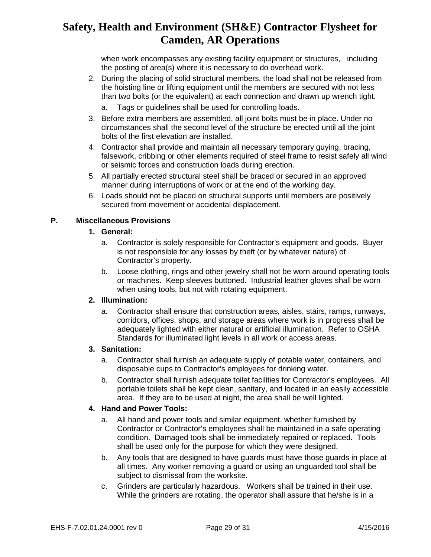when work encompasses any existing facility equipment or structures, including the posting of area(s) where it is necessary to do overhead work.

- 2. During the placing of solid structural members, the load shall not be released from the hoisting line or lifting equipment until the members are secured with not less than two bolts (or the equivalent) at each connection and drawn up wrench tight.
	- a. Tags or guidelines shall be used for controlling loads.
- 3. Before extra members are assembled, all joint bolts must be in place. Under no circumstances shall the second level of the structure be erected until all the joint bolts of the first elevation are installed.
- 4. Contractor shall provide and maintain all necessary temporary guying, bracing, falsework, cribbing or other elements required of steel frame to resist safely all wind or seismic forces and construction loads during erection.
- 5. All partially erected structural steel shall be braced or secured in an approved manner during interruptions of work or at the end of the working day.
- 6. Loads should not be placed on structural supports until members are positively secured from movement or accidental displacement.

### **P. Miscellaneous Provisions**

#### **1. General:**

- a. Contractor is solely responsible for Contractor's equipment and goods. Buyer is not responsible for any losses by theft (or by whatever nature) of Contractor's property.
- b. Loose clothing, rings and other jewelry shall not be worn around operating tools or machines. Keep sleeves buttoned. Industrial leather gloves shall be worn when using tools, but not with rotating equipment.

#### **2. Illumination:**

a. Contractor shall ensure that construction areas, aisles, stairs, ramps, runways, corridors, offices, shops, and storage areas where work is in progress shall be adequately lighted with either natural or artificial illumination. Refer to OSHA Standards for illuminated light levels in all work or access areas.

#### **3. Sanitation:**

- a. Contractor shall furnish an adequate supply of potable water, containers, and disposable cups to Contractor's employees for drinking water.
- b. Contractor shall furnish adequate toilet facilities for Contractor's employees. All portable toilets shall be kept clean, sanitary, and located in an easily accessible area. If they are to be used at night, the area shall be well lighted.

### **4. Hand and Power Tools:**

- a. All hand and power tools and similar equipment, whether furnished by Contractor or Contractor's employees shall be maintained in a safe operating condition. Damaged tools shall be immediately repaired or replaced. Tools shall be used only for the purpose for which they were designed.
- b. Any tools that are designed to have guards must have those guards in place at all times. Any worker removing a guard or using an unguarded tool shall be subject to dismissal from the worksite.
- c. Grinders are particularly hazardous. Workers shall be trained in their use. While the grinders are rotating, the operator shall assure that he/she is in a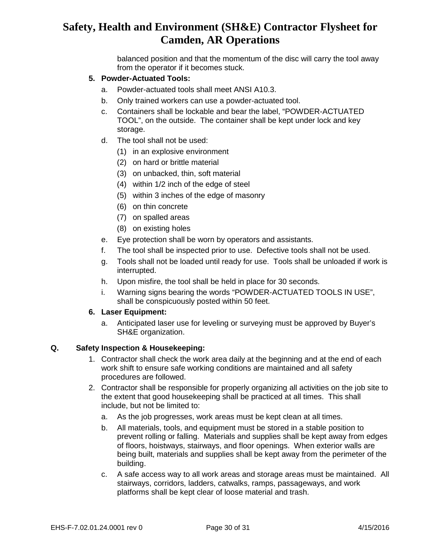balanced position and that the momentum of the disc will carry the tool away from the operator if it becomes stuck.

#### **5. Powder-Actuated Tools:**

- a. Powder-actuated tools shall meet ANSI A10.3.
- b. Only trained workers can use a powder-actuated tool.
- c. Containers shall be lockable and bear the label, "POWDER-ACTUATED TOOL", on the outside. The container shall be kept under lock and key storage.
- d. The tool shall not be used:
	- (1) in an explosive environment
	- (2) on hard or brittle material
	- (3) on unbacked, thin, soft material
	- (4) within 1/2 inch of the edge of steel
	- (5) within 3 inches of the edge of masonry
	- (6) on thin concrete
	- (7) on spalled areas
	- (8) on existing holes
- e. Eye protection shall be worn by operators and assistants.
- f. The tool shall be inspected prior to use. Defective tools shall not be used.
- g. Tools shall not be loaded until ready for use. Tools shall be unloaded if work is interrupted.
- h. Upon misfire, the tool shall be held in place for 30 seconds.
- i. Warning signs bearing the words "POWDER-ACTUATED TOOLS IN USE", shall be conspicuously posted within 50 feet.

#### **6. Laser Equipment:**

a. Anticipated laser use for leveling or surveying must be approved by Buyer's SH&E organization.

#### **Q. Safety Inspect**i**on & Housekeeping:**

- 1. Contractor shall check the work area daily at the beginning and at the end of each work shift to ensure safe working conditions are maintained and all safety procedures are followed.
- 2. Contractor shall be responsible for properly organizing all activities on the job site to the extent that good housekeeping shall be practiced at all times. This shall include, but not be limited to:
	- a. As the job progresses, work areas must be kept clean at all times.
	- b. All materials, tools, and equipment must be stored in a stable position to prevent rolling or falling. Materials and supplies shall be kept away from edges of floors, hoistways, stairways, and floor openings. When exterior walls are being built, materials and supplies shall be kept away from the perimeter of the building.
	- c. A safe access way to all work areas and storage areas must be maintained. All stairways, corridors, ladders, catwalks, ramps, passageways, and work platforms shall be kept clear of loose material and trash.